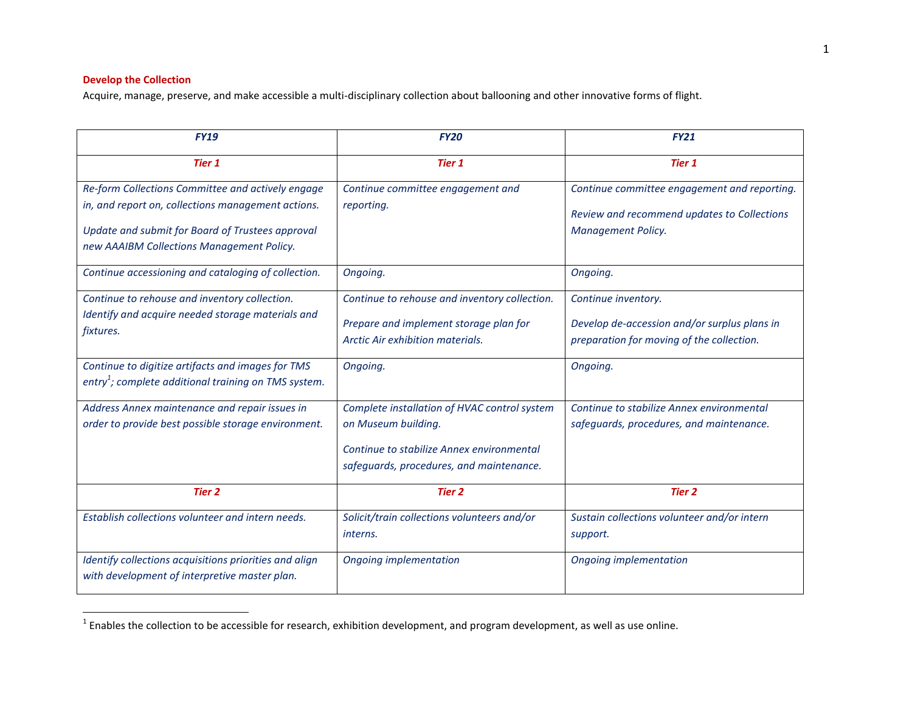# **Develop the Collection**

Acquire, manage, preserve, and make accessible a multi-disciplinary collection about ballooning and other innovative forms of flight.

| <b>FY19</b>                                                                                                                                                                                              | <b>FY20</b>                                                                                                                                                  | <b>FY21</b>                                                                                                       |
|----------------------------------------------------------------------------------------------------------------------------------------------------------------------------------------------------------|--------------------------------------------------------------------------------------------------------------------------------------------------------------|-------------------------------------------------------------------------------------------------------------------|
| <b>Tier 1</b>                                                                                                                                                                                            | <b>Tier 1</b>                                                                                                                                                | Tier 1                                                                                                            |
| Re-form Collections Committee and actively engage<br>in, and report on, collections management actions.<br>Update and submit for Board of Trustees approval<br>new AAAIBM Collections Management Policy. | Continue committee engagement and<br>reporting.                                                                                                              | Continue committee engagement and reporting.<br>Review and recommend updates to Collections<br>Management Policy. |
| Continue accessioning and cataloging of collection.                                                                                                                                                      | Ongoing.                                                                                                                                                     | Ongoing.                                                                                                          |
| Continue to rehouse and inventory collection.<br>Identify and acquire needed storage materials and<br>fixtures.                                                                                          | Continue to rehouse and inventory collection.<br>Prepare and implement storage plan for<br>Arctic Air exhibition materials.                                  | Continue inventory.<br>Develop de-accession and/or surplus plans in<br>preparation for moving of the collection.  |
| Continue to digitize artifacts and images for TMS<br>entry <sup>1</sup> ; complete additional training on TMS system.                                                                                    | Ongoing.                                                                                                                                                     | Ongoing.                                                                                                          |
| Address Annex maintenance and repair issues in<br>order to provide best possible storage environment.                                                                                                    | Complete installation of HVAC control system<br>on Museum building.<br>Continue to stabilize Annex environmental<br>safeguards, procedures, and maintenance. | Continue to stabilize Annex environmental<br>safeguards, procedures, and maintenance.                             |
| <b>Tier 2</b>                                                                                                                                                                                            | <b>Tier 2</b>                                                                                                                                                | Tier 2                                                                                                            |
| Establish collections volunteer and intern needs.                                                                                                                                                        | Solicit/train collections volunteers and/or<br><i>interns.</i>                                                                                               | Sustain collections volunteer and/or intern<br>support.                                                           |
| Identify collections acquisitions priorities and align<br>with development of interpretive master plan.                                                                                                  | <b>Ongoing implementation</b>                                                                                                                                | Ongoing implementation                                                                                            |

 1 Enables the collection to be accessible for research, exhibition development, and program development, as well as use online.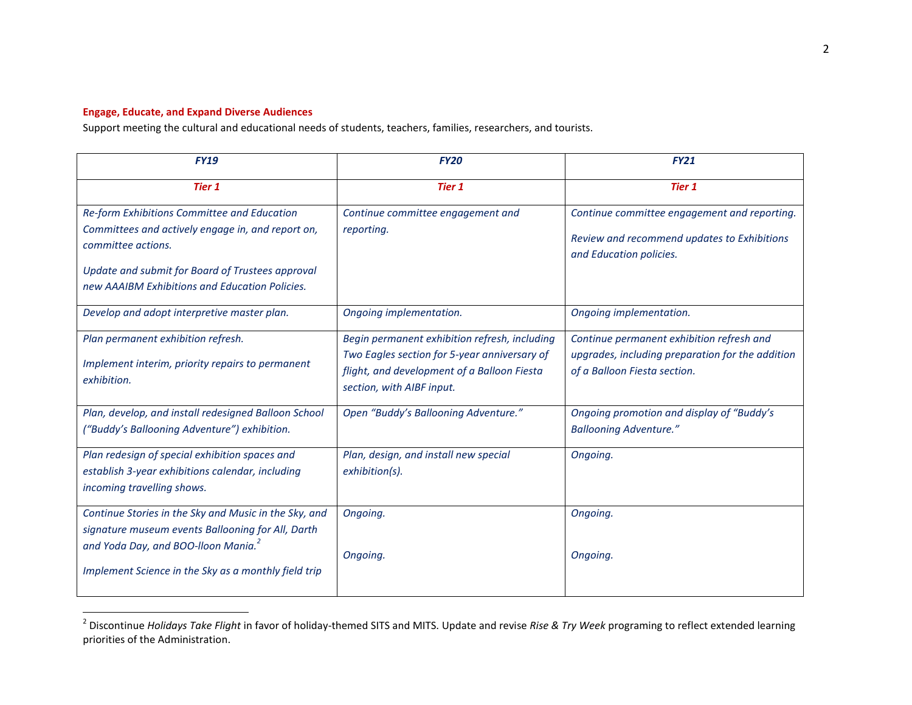## **Engage, Educate, and Expand Diverse Audiences**

Support meeting the cultural and educational needs of students, teachers, families, researchers, and tourists.

| <b>FY20</b>                                                                                                                                                               | <b>FY21</b>                                                                                                                   |
|---------------------------------------------------------------------------------------------------------------------------------------------------------------------------|-------------------------------------------------------------------------------------------------------------------------------|
| <b>Tier 1</b>                                                                                                                                                             | <b>Tier 1</b>                                                                                                                 |
| Continue committee engagement and<br>reporting.                                                                                                                           | Continue committee engagement and reporting.<br>Review and recommend updates to Exhibitions<br>and Education policies.        |
| Ongoing implementation.                                                                                                                                                   | Ongoing implementation.                                                                                                       |
| Begin permanent exhibition refresh, including<br>Two Eagles section for 5-year anniversary of<br>flight, and development of a Balloon Fiesta<br>section, with AIBF input. | Continue permanent exhibition refresh and<br>upgrades, including preparation for the addition<br>of a Balloon Fiesta section. |
| Open "Buddy's Ballooning Adventure."                                                                                                                                      | Ongoing promotion and display of "Buddy's<br><b>Ballooning Adventure."</b>                                                    |
| Plan, design, and install new special<br>exhibition(s).                                                                                                                   | Ongoing.                                                                                                                      |
| Ongoing.<br>Ongoing.                                                                                                                                                      | Ongoing.<br>Ongoing.                                                                                                          |
|                                                                                                                                                                           |                                                                                                                               |

 2 Discontinue *Holidays Take Flight* in favor of holiday-themed SITS and MITS. Update and revise *Rise & Try Week* programing to reflect extended learning priorities of the Administration.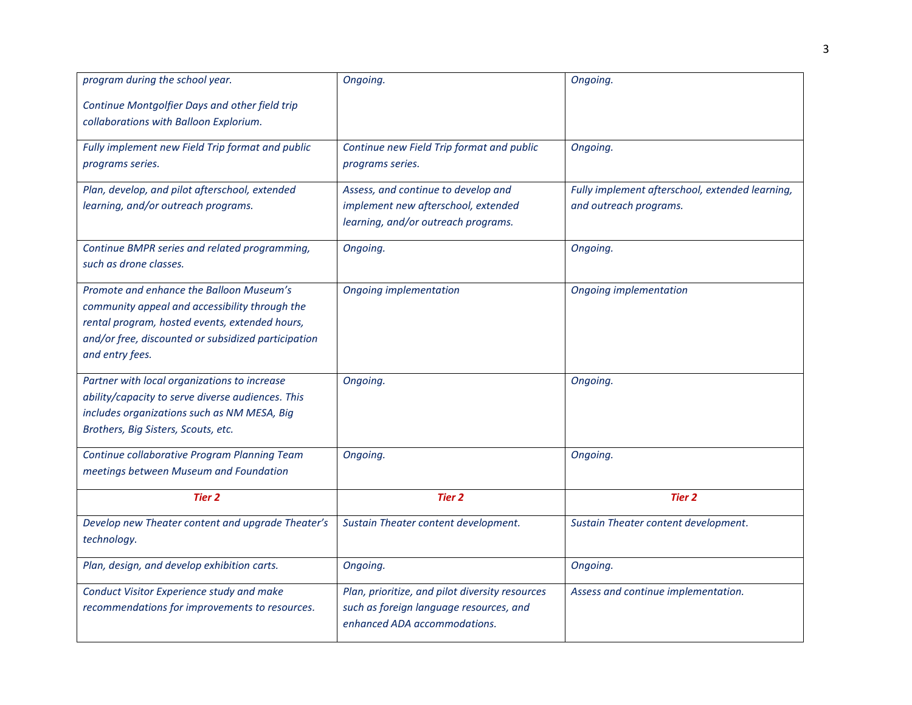| program during the school year.                     | Ongoing.                                        | Ongoing.                                        |
|-----------------------------------------------------|-------------------------------------------------|-------------------------------------------------|
| Continue Montgolfier Days and other field trip      |                                                 |                                                 |
| collaborations with Balloon Explorium.              |                                                 |                                                 |
| Fully implement new Field Trip format and public    | Continue new Field Trip format and public       | Ongoing.                                        |
| programs series.                                    | programs series.                                |                                                 |
| Plan, develop, and pilot afterschool, extended      | Assess, and continue to develop and             | Fully implement afterschool, extended learning, |
| learning, and/or outreach programs.                 | implement new afterschool, extended             | and outreach programs.                          |
|                                                     | learning, and/or outreach programs.             |                                                 |
| Continue BMPR series and related programming,       | Ongoing.                                        | Ongoing.                                        |
| such as drone classes.                              |                                                 |                                                 |
| Promote and enhance the Balloon Museum's            | <b>Ongoing implementation</b>                   | Ongoing implementation                          |
| community appeal and accessibility through the      |                                                 |                                                 |
| rental program, hosted events, extended hours,      |                                                 |                                                 |
| and/or free, discounted or subsidized participation |                                                 |                                                 |
| and entry fees.                                     |                                                 |                                                 |
| Partner with local organizations to increase        | Ongoing.                                        | Ongoing.                                        |
| ability/capacity to serve diverse audiences. This   |                                                 |                                                 |
| includes organizations such as NM MESA, Big         |                                                 |                                                 |
| Brothers, Big Sisters, Scouts, etc.                 |                                                 |                                                 |
| Continue collaborative Program Planning Team        | Ongoing.                                        | Ongoing.                                        |
| meetings between Museum and Foundation              |                                                 |                                                 |
| <b>Tier 2</b>                                       | <b>Tier 2</b>                                   | <b>Tier 2</b>                                   |
| Develop new Theater content and upgrade Theater's   | Sustain Theater content development.            | Sustain Theater content development.            |
| technology.                                         |                                                 |                                                 |
| Plan, design, and develop exhibition carts.         | Ongoing.                                        | Ongoing.                                        |
| Conduct Visitor Experience study and make           | Plan, prioritize, and pilot diversity resources | Assess and continue implementation.             |
| recommendations for improvements to resources.      | such as foreign language resources, and         |                                                 |
|                                                     | enhanced ADA accommodations.                    |                                                 |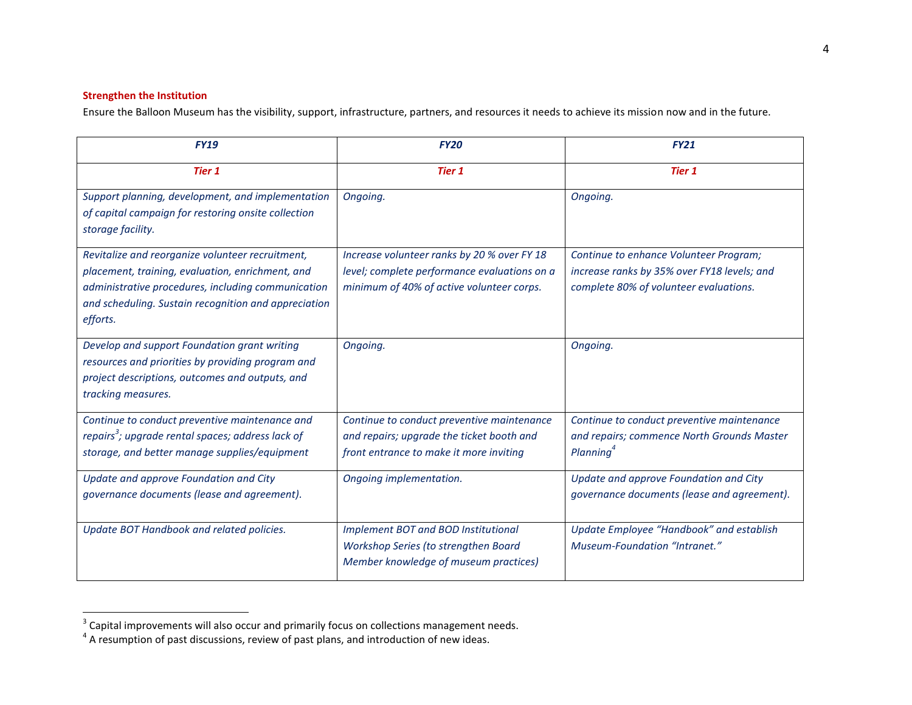# **Strengthen the Institution**

Ensure the Balloon Museum has the visibility, support, infrastructure, partners, and resources it needs to achieve its mission now and in the future.

| <b>FY19</b>                                                                                                                                                                                                                    | <b>FY20</b>                                                                                                                              | <b>FY21</b>                                                                                                                     |
|--------------------------------------------------------------------------------------------------------------------------------------------------------------------------------------------------------------------------------|------------------------------------------------------------------------------------------------------------------------------------------|---------------------------------------------------------------------------------------------------------------------------------|
| Tier 1                                                                                                                                                                                                                         | <b>Tier 1</b>                                                                                                                            | <b>Tier 1</b>                                                                                                                   |
| Support planning, development, and implementation<br>of capital campaign for restoring onsite collection<br>storage facility.                                                                                                  | Ongoing.                                                                                                                                 | Ongoing.                                                                                                                        |
| Revitalize and reorganize volunteer recruitment,<br>placement, training, evaluation, enrichment, and<br>administrative procedures, including communication<br>and scheduling. Sustain recognition and appreciation<br>efforts. | Increase volunteer ranks by 20 % over FY 18<br>level; complete performance evaluations on a<br>minimum of 40% of active volunteer corps. | Continue to enhance Volunteer Program;<br>increase ranks by 35% over FY18 levels; and<br>complete 80% of volunteer evaluations. |
| Develop and support Foundation grant writing<br>resources and priorities by providing program and<br>project descriptions, outcomes and outputs, and<br>tracking measures.                                                     | Ongoing.                                                                                                                                 | Ongoing.                                                                                                                        |
| Continue to conduct preventive maintenance and<br>repairs <sup>3</sup> ; upgrade rental spaces; address lack of<br>storage, and better manage supplies/equipment                                                               | Continue to conduct preventive maintenance<br>and repairs; upgrade the ticket booth and<br>front entrance to make it more inviting       | Continue to conduct preventive maintenance<br>and repairs; commence North Grounds Master<br>Planning <sup>4</sup>               |
| Update and approve Foundation and City<br>governance documents (lease and agreement).                                                                                                                                          | Ongoing implementation.                                                                                                                  | Update and approve Foundation and City<br>governance documents (lease and agreement).                                           |
| Update BOT Handbook and related policies.                                                                                                                                                                                      | Implement BOT and BOD Institutional<br>Workshop Series (to strengthen Board<br>Member knowledge of museum practices)                     | Update Employee "Handbook" and establish<br><b>Museum-Foundation "Intranet."</b>                                                |

a<br><sup>3</sup> Capital improvements will also occur and primarily focus on collections management needs.<br><sup>4</sup> A resumption of past discussions, review of past plans, and introduction of new ideas.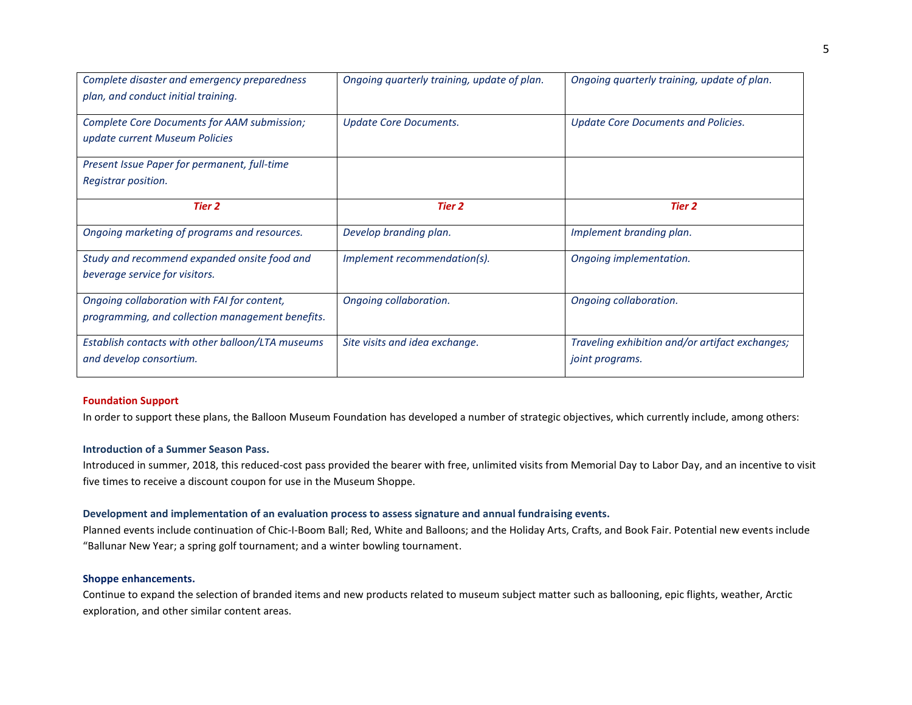| Complete disaster and emergency preparedness<br>plan, and conduct initial training.             | Ongoing quarterly training, update of plan. | Ongoing quarterly training, update of plan.                        |
|-------------------------------------------------------------------------------------------------|---------------------------------------------|--------------------------------------------------------------------|
| Complete Core Documents for AAM submission;<br>update current Museum Policies                   | <b>Update Core Documents.</b>               | <b>Update Core Documents and Policies.</b>                         |
| Present Issue Paper for permanent, full-time                                                    |                                             |                                                                    |
| Registrar position.                                                                             |                                             |                                                                    |
| <b>Tier 2</b>                                                                                   | <b>Tier 2</b>                               | Tier 2                                                             |
| Ongoing marketing of programs and resources.                                                    | Develop branding plan.                      | Implement branding plan.                                           |
| Study and recommend expanded onsite food and<br>beverage service for visitors.                  | Implement recommendation(s).                | Ongoing implementation.                                            |
| Ongoing collaboration with FAI for content,<br>programming, and collection management benefits. | Ongoing collaboration.                      | Ongoing collaboration.                                             |
| Establish contacts with other balloon/LTA museums<br>and develop consortium.                    | Site visits and idea exchange.              | Traveling exhibition and/or artifact exchanges;<br>joint programs. |

### **Foundation Support**

In order to support these plans, the Balloon Museum Foundation has developed a number of strategic objectives, which currently include, among others:

#### **Introduction of a Summer Season Pass.**

Introduced in summer, 2018, this reduced-cost pass provided the bearer with free, unlimited visits from Memorial Day to Labor Day, and an incentive to visit five times to receive a discount coupon for use in the Museum Shoppe.

### **Development and implementation of an evaluation process to assess signature and annual fundraising events.**

Planned events include continuation of Chic-I-Boom Ball; Red, White and Balloons; and the Holiday Arts, Crafts, and Book Fair. Potential new events include "Ballunar New Year; a spring golf tournament; and a winter bowling tournament.

### **Shoppe enhancements.**

Continue to expand the selection of branded items and new products related to museum subject matter such as ballooning, epic flights, weather, Arctic exploration, and other similar content areas.